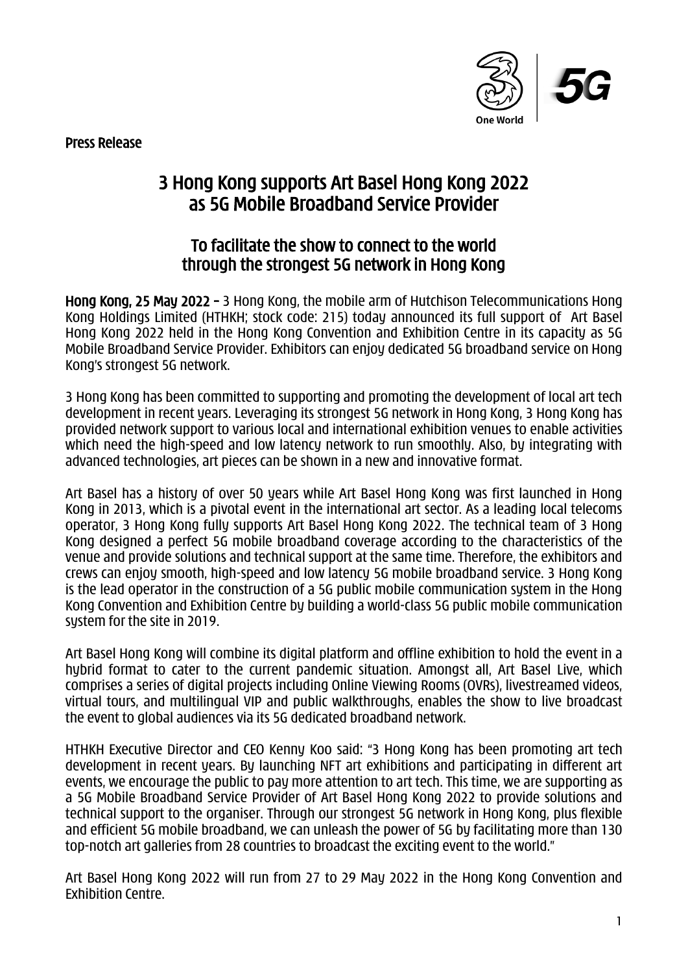Press Release



## 3 Hong Kong supports Art Basel Hong Kong 2022 as 5G Mobile Broadband Service Provider

## To facilitate the show to connect to the world through the strongest 5G network in Hong Kong

Hong Kong, 25 May 2022 – 3 Hong Kong, the mobile arm of Hutchison Telecommunications Hong Kong Holdings Limited (HTHKH; stock code: 215) today announced its full support of Art Basel Hong Kong 2022 held in the Hong Kong Convention and Exhibition Centre in its capacity as 5G Mobile Broadband Service Provider. Exhibitors can enjoy dedicated 5G broadband service on Hong Kong's strongest 5G network.

3 Hong Kong has been committed to supporting and promoting the development of local art tech development in recent years. Leveraging its strongest 5G network in Hong Kong, 3 Hong Kong has provided network support to various local and international exhibition venues to enable activities which need the high-speed and low latency network to run smoothly. Also, by integrating with advanced technologies, art pieces can be shown in a new and innovative format.

Art Basel has a history of over 50 years while Art Basel Hong Kong was first launched in Hong Kong in 2013, which is a pivotal event in the international art sector. As a leading local telecoms operator, 3 Hong Kong fully supports Art Basel Hong Kong 2022. The technical team of 3 Hong Kong designed a perfect 5G mobile broadband coverage according to the characteristics of the venue and provide solutions and technical support at the same time. Therefore, the exhibitors and crews can enjoy smooth, high-speed and low latency 5G mobile broadband service. 3 Hong Kong is the lead operator in the construction of a 5G public mobile communication system in the Hong Kong Convention and Exhibition Centre by building a world-class 5G public mobile communication system for the site in 2019.

Art Basel Hong Kong will combine its digital platform and offline exhibition to hold the event in a hybrid format to cater to the current pandemic situation. Amongst all, Art Basel Live, which comprises a series of digital projects including Online Viewing Rooms (OVRs), livestreamed videos, virtual tours, and multilingual VIP and public walkthroughs, enables the show to live broadcast the event to global audiences via its 5G dedicated broadband network.

HTHKH Executive Director and CEO Kenny Koo said: "3 Hong Kong has been promoting art tech development in recent years. By launching NFT art exhibitions and participating in different art events, we encourage the public to pay more attention to art tech. This time, we are supporting as a 5G Mobile Broadband Service Provider of Art Basel Hong Kong 2022 to provide solutions and technical support to the organiser. Through our strongest 5G network in Hong Kong, plus flexible and efficient 5G mobile broadband, we can unleash the power of 5G by facilitating more than 130 top-notch art galleries from 28 countries to broadcast the exciting event to the world."

Art Basel Hong Kong 2022 will run from 27 to 29 May 2022 in the Hong Kong Convention and Exhibition Centre.